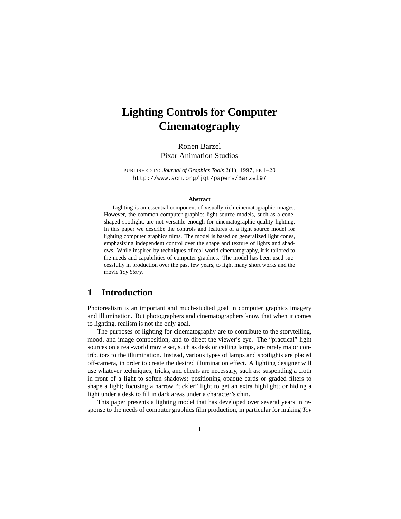# **Lighting Controls for Computer Cinematography**

Ronen Barzel Pixar Animation Studios

PUBLISHED IN: *Journal of Graphics Tools* 2(1), 1997, PP.1–20 http://www.acm.org/jgt/papers/Barzel97

#### **Abstract**

Lighting is an essential component of visually rich cinematographic images. However, the common computer graphics light source models, such as a coneshaped spotlight, are not versatile enough for cinematographic-quality lighting. In this paper we describe the controls and features of a light source model for lighting computer graphics films. The model is based on generalized light cones, emphasizing independent control over the shape and texture of lights and shadows. While inspired by techniques of real-world cinematography, it is tailored to the needs and capabilities of computer graphics. The model has been used successfully in production over the past few years, to light many short works and the movie *Toy Story.*

### **1 Introduction**

Photorealism is an important and much-studied goal in computer graphics imagery and illumination. But photographers and cinematographers know that when it comes to lighting, realism is not the only goal.

The purposes of lighting for cinematography are to contribute to the storytelling, mood, and image composition, and to direct the viewer's eye. The "practical" light sources on a real-world movie set, such as desk or ceiling lamps, are rarely major contributors to the illumination. Instead, various types of lamps and spotlights are placed off-camera, in order to create the desired illumination effect. A lighting designer will use whatever techniques, tricks, and cheats are necessary, such as: suspending a cloth in front of a light to soften shadows; positioning opaque cards or graded filters to shape a light; focusing a narrow "tickler" light to get an extra highlight; or hiding a light under a desk to fill in dark areas under a character's chin.

This paper presents a lighting model that has developed over several years in response to the needs of computer graphics film production, in particular for making *Toy*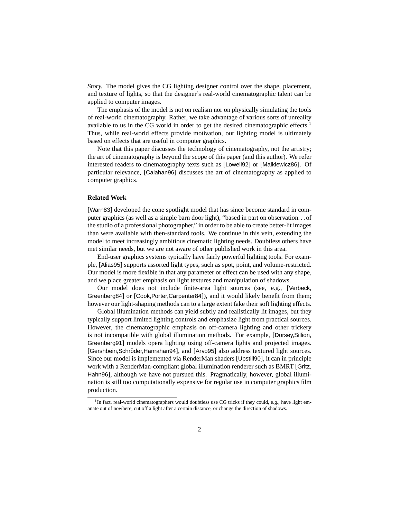*Story.* The model gives the CG lighting designer control over the shape, placement, and texture of lights, so that the designer's real-world cinematographic talent can be applied to computer images.

The emphasis of the model is not on realism nor on physically simulating the tools of real-world cinematography. Rather, we take advantage of various sorts of unreality available to us in the CG world in order to get the desired cinematographic effects.<sup>1</sup> Thus, while real-world effects provide motivation, our lighting model is ultimately based on effects that are useful in computer graphics.

Note that this paper discusses the technology of cinematography, not the artistry; the art of cinematography is beyond the scope of this paper (and this author). We refer interested readers to cinematography texts such as [Lowell92] or [Malkiewicz86]. Of particular relevance, [Calahan96] discusses the art of cinematography as applied to computer graphics.

#### **Related Work**

[Warn83] developed the cone spotlight model that has since become standard in computer graphics (as well as a simple barn door light), "based in part on observation. . . of the studio of a professional photographer," in order to be able to create better-lit images than were available with then-standard tools. We continue in this vein, extending the model to meet increasingly ambitious cinematic lighting needs. Doubtless others have met similar needs, but we are not aware of other published work in this area.

End-user graphics systems typically have fairly powerful lighting tools. For example, [Alias95] supports assorted light types, such as spot, point, and volume-restricted. Our model is more flexible in that any parameter or effect can be used with any shape, and we place greater emphasis on light textures and manipulation of shadows.

Our model does not include finite-area light sources (see, e.g., [Verbeck, Greenberg84] or [Cook,Porter,Carpenter84]), and it would likely benefit from them; however our light-shaping methods can to a large extent fake their soft lighting effects.

Global illumination methods can yield subtly and realistically lit images, but they typically support limited lighting controls and emphasize light from practical sources. However, the cinematographic emphasis on off-camera lighting and other trickery is not incompatible with global illumination methods. For example, [Dorsey,Sillion, Greenberg91] models opera lighting using off-camera lights and projected images. [Gershbein, Schröder, Hanrahan 94], and [Arvo 95] also address textured light sources. Since our model is implemented via RenderMan shaders [Upstill90], it can in principle work with a RenderMan-compliant global illumination renderer such as BMRT [Gritz, Hahn96], although we have not pursued this. Pragmatically, however, global illumination is still too computationally expensive for regular use in computer graphics film production.

<sup>&</sup>lt;sup>1</sup>In fact, real-world cinematographers would doubtless use CG tricks if they could, e.g., have light emanate out of nowhere, cut off a light after a certain distance, or change the direction of shadows.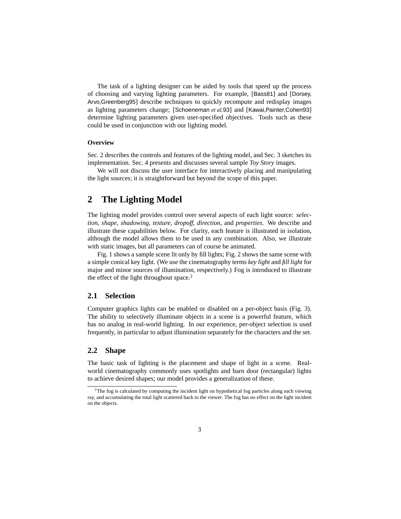The task of a lighting designer can be aided by tools that speed up the process of choosing and varying lighting parameters. For example, [Bass81] and [Dorsey, Arvo,Greenberg95] describe techniques to quickly recompute and redisplay images as lighting parameters change; [Schoeneman *et al.*93] and [Kawai,Painter,Cohen93] determine lighting parameters given user-specified objectives. Tools such as these could be used in conjunction with our lighting model.

#### **Overview**

Sec. 2 describes the controls and features of the lighting model, and Sec. 3 sketches its implementation. Sec. 4 presents and discusses several sample *Toy Story* images.

We will not discuss the user interface for interactively placing and manipulating the light sources; it is straightforward but beyond the scope of this paper.

## **2 The Lighting Model**

The lighting model provides control over several aspects of each light source: *selection, shape, shadowing, texture, dropoff, direction,* and *properties.* We describe and illustrate these capabilities below. For clarity, each feature is illustrated in isolation, although the model allows them to be used in any combination. Also, we illustrate with static images, but all parameters can of course be animated.

Fig. 1 shows a sample scene lit only by fill lights; Fig. 2 shows the same scene with a simple conical key light. (We use the cinematography terms *key light* and *fill light* for major and minor sources of illumination, respectively.) Fog is introduced to illustrate the effect of the light throughout space. $<sup>2</sup>$ </sup>

#### **2.1 Selection**

Computer graphics lights can be enabled or disabled on a per-object basis (Fig. 3). The ability to selectively illuminate objects in a scene is a powerful feature, which has no analog in real-world lighting. In our experience, per-object selection is used frequently, in particular to adjust illumination separately for the characters and the set.

### **2.2 Shape**

The basic task of lighting is the placement and shape of light in a scene. Realworld cinematography commonly uses spotlights and barn door (rectangular) lights to achieve desired shapes; our model provides a generalization of these.

<sup>&</sup>lt;sup>2</sup>The fog is calculated by computing the incident light on hypothetical fog particles along each viewing ray, and accumulating the total light scattered back to the viewer. The fog has no effect on the light incident on the objects.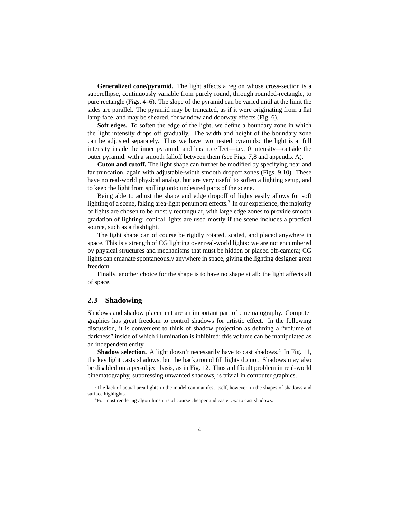**Generalized cone/pyramid.** The light affects a region whose cross-section is a superellipse, continuously variable from purely round, through rounded-rectangle, to pure rectangle (Figs. 4–6). The slope of the pyramid can be varied until at the limit the sides are parallel. The pyramid may be truncated, as if it were originating from a flat lamp face, and may be sheared, for window and doorway effects (Fig. 6).

**Soft edges.** To soften the edge of the light, we define a boundary zone in which the light intensity drops off gradually. The width and height of the boundary zone can be adjusted separately. Thus we have two nested pyramids: the light is at full intensity inside the inner pyramid, and has no effect—i.e., 0 intensity—outside the outer pyramid, with a smooth falloff between them (see Figs. 7,8 and appendix A).

**Cuton and cutoff.** The light shape can further be modified by specifying near and far truncation, again with adjustable-width smooth dropoff zones (Figs. 9,10). These have no real-world physical analog, but are very useful to soften a lighting setup, and to keep the light from spilling onto undesired parts of the scene.

Being able to adjust the shape and edge dropoff of lights easily allows for soft lighting of a scene, faking area-light penumbra effects.<sup>3</sup> In our experience, the majority of lights are chosen to be mostly rectangular, with large edge zones to provide smooth gradation of lighting; conical lights are used mostly if the scene includes a practical source, such as a flashlight.

The light shape can of course be rigidly rotated, scaled, and placed anywhere in space. This is a strength of CG lighting over real-world lights: we are not encumbered by physical structures and mechanisms that must be hidden or placed off-camera; CG lights can emanate spontaneously anywhere in space, giving the lighting designer great freedom.

Finally, another choice for the shape is to have no shape at all: the light affects all of space.

#### **2.3 Shadowing**

Shadows and shadow placement are an important part of cinematography. Computer graphics has great freedom to control shadows for artistic effect. In the following discussion, it is convenient to think of shadow projection as defining a "volume of darkness" inside of which illumination is inhibited; this volume can be manipulated as an independent entity.

**Shadow selection.** A light doesn't necessarily have to cast shadows.<sup>4</sup> In Fig. 11, the key light casts shadows, but the background fill lights do not. Shadows may also be disabled on a per-object basis, as in Fig. 12. Thus a difficult problem in real-world cinematography, suppressing unwanted shadows, is trivial in computer graphics.

<sup>&</sup>lt;sup>3</sup>The lack of actual area lights in the model can manifest itself, however, in the shapes of shadows and surface highlights.

<sup>4</sup>For most rendering algorithms it is of course cheaper and easier *not* to cast shadows.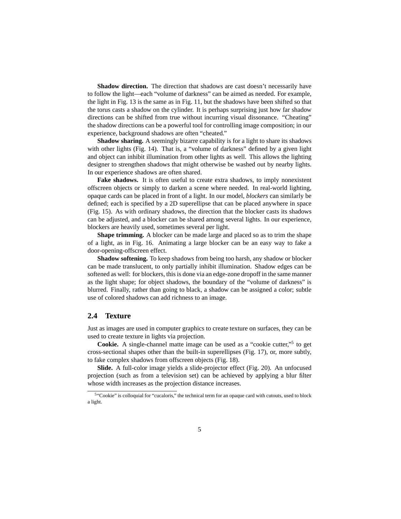**Shadow direction.** The direction that shadows are cast doesn't necessarily have to follow the light—each "volume of darkness" can be aimed as needed. For example, the light in Fig. 13 is the same as in Fig. 11, but the shadows have been shifted so that the torus casts a shadow on the cylinder. It is perhaps surprising just how far shadow directions can be shifted from true without incurring visual dissonance. "Cheating" the shadow directions can be a powerful tool for controlling image composition; in our experience, background shadows are often "cheated."

**Shadow sharing.** A seemingly bizarre capability is for a light to share its shadows with other lights (Fig. 14). That is, a "volume of darkness" defined by a given light and object can inhibit illumination from other lights as well. This allows the lighting designer to strengthen shadows that might otherwise be washed out by nearby lights. In our experience shadows are often shared.

**Fake shadows.** It is often useful to create extra shadows, to imply nonexistent offscreen objects or simply to darken a scene where needed. In real-world lighting, opaque cards can be placed in front of a light. In our model, *blockers* can similarly be defined; each is specified by a 2D superellipse that can be placed anywhere in space (Fig. 15). As with ordinary shadows, the direction that the blocker casts its shadows can be adjusted, and a blocker can be shared among several lights. In our experience, blockers are heavily used, sometimes several per light.

**Shape trimming.** A blocker can be made large and placed so as to trim the shape of a light, as in Fig. 16. Animating a large blocker can be an easy way to fake a door-opening-offscreen effect.

**Shadow softening.** To keep shadows from being too harsh, any shadow or blocker can be made translucent, to only partially inhibit illumination. Shadow edges can be softened as well: for blockers, this is done via an edge-zone dropoff in the same manner as the light shape; for object shadows, the boundary of the "volume of darkness" is blurred. Finally, rather than going to black, a shadow can be assigned a color; subtle use of colored shadows can add richness to an image.

#### **2.4 Texture**

Just as images are used in computer graphics to create texture on surfaces, they can be used to create texture in lights via projection.

Cookie. A single-channel matte image can be used as a "cookie cutter,"<sup>5</sup> to get cross-sectional shapes other than the built-in superellipses (Fig. 17), or, more subtly, to fake complex shadows from offscreen objects (Fig. 18).

**Slide.** A full-color image yields a slide-projector effect (Fig. 20). An unfocused projection (such as from a television set) can be achieved by applying a blur filter whose width increases as the projection distance increases.

<sup>&</sup>lt;sup>5</sup>"Cookie" is colloquial for "cucaloris," the technical term for an opaque card with cutouts, used to block a light.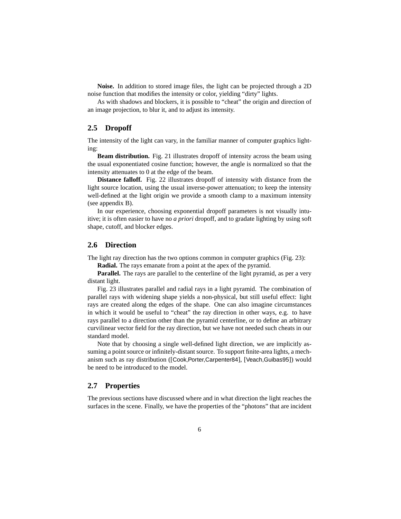**Noise.** In addition to stored image files, the light can be projected through a 2D noise function that modifies the intensity or color, yielding "dirty" lights.

As with shadows and blockers, it is possible to "cheat" the origin and direction of an image projection, to blur it, and to adjust its intensity.

### **2.5 Dropoff**

The intensity of the light can vary, in the familiar manner of computer graphics lighting:

**Beam distribution.** Fig. 21 illustrates dropoff of intensity across the beam using the usual exponentiated cosine function; however, the angle is normalized so that the intensity attenuates to 0 at the edge of the beam.

**Distance falloff.** Fig. 22 illustrates dropoff of intensity with distance from the light source location, using the usual inverse-power attenuation; to keep the intensity well-defined at the light origin we provide a smooth clamp to a maximum intensity (see appendix B).

In our experience, choosing exponential dropoff parameters is not visually intuitive; it is often easier to have no *a priori* dropoff, and to gradate lighting by using soft shape, cutoff, and blocker edges.

#### **2.6 Direction**

The light ray direction has the two options common in computer graphics (Fig. 23):

**Radial.** The rays emanate from a point at the apex of the pyramid.

Parallel. The rays are parallel to the centerline of the light pyramid, as per a very distant light.

Fig. 23 illustrates parallel and radial rays in a light pyramid. The combination of parallel rays with widening shape yields a non-physical, but still useful effect: light rays are created along the edges of the shape. One can also imagine circumstances in which it would be useful to "cheat" the ray direction in other ways, e.g. to have rays parallel to a direction other than the pyramid centerline, or to define an arbitrary curvilinear vector field for the ray direction, but we have not needed such cheats in our standard model.

Note that by choosing a single well-defined light direction, we are implicitly assuming a point source or infinitely-distant source. To support finite-area lights, a mechanism such as ray distribution ([Cook,Porter,Carpenter84], [Veach,Guibas95]) would be need to be introduced to the model.

#### **2.7 Properties**

The previous sections have discussed where and in what direction the light reaches the surfaces in the scene. Finally, we have the properties of the "photons" that are incident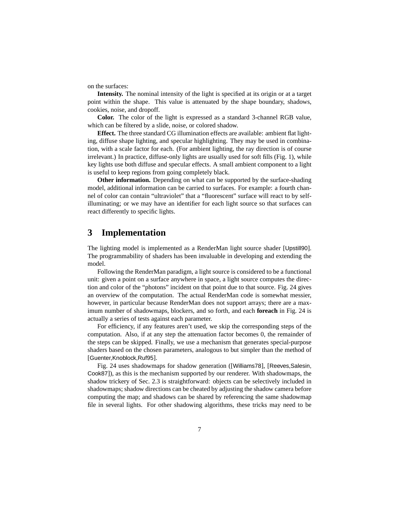on the surfaces:

**Intensity.** The nominal intensity of the light is specified at its origin or at a target point within the shape. This value is attenuated by the shape boundary, shadows, cookies, noise, and dropoff.

**Color.** The color of the light is expressed as a standard 3-channel RGB value, which can be filtered by a slide, noise, or colored shadow.

**Effect.** The three standard CG illumination effects are available: ambient flat lighting, diffuse shape lighting, and specular highlighting. They may be used in combination, with a scale factor for each. (For ambient lighting, the ray direction is of course irrelevant.) In practice, diffuse-only lights are usually used for soft fills (Fig. 1), while key lights use both diffuse and specular effects. A small ambient component to a light is useful to keep regions from going completely black.

**Other information.** Depending on what can be supported by the surface-shading model, additional information can be carried to surfaces. For example: a fourth channel of color can contain "ultraviolet" that a "fluorescent" surface will react to by selfilluminating; or we may have an identifier for each light source so that surfaces can react differently to specific lights.

### **3 Implementation**

The lighting model is implemented as a RenderMan light source shader [Upstill90]. The programmability of shaders has been invaluable in developing and extending the model.

Following the RenderMan paradigm, a light source is considered to be a functional unit: given a point on a surface anywhere in space, a light source computes the direction and color of the "photons" incident on that point due to that source. Fig. 24 gives an overview of the computation. The actual RenderMan code is somewhat messier, however, in particular because RenderMan does not support arrays; there are a maximum number of shadowmaps, blockers, and so forth, and each **foreach** in Fig. 24 is actually a series of tests against each parameter.

For efficiency, if any features aren't used, we skip the corresponding steps of the computation. Also, if at any step the attenuation factor becomes 0, the remainder of the steps can be skipped. Finally, we use a mechanism that generates special-purpose shaders based on the chosen parameters, analogous to but simpler than the method of [Guenter,Knoblock,Ruf95].

Fig. 24 uses shadowmaps for shadow generation ([Williams78], [Reeves,Salesin, Cook87]), as this is the mechanism supported by our renderer. With shadowmaps, the shadow trickery of Sec. 2.3 is straightforward: objects can be selectively included in shadowmaps; shadow directions can be cheated by adjusting the shadow camera before computing the map; and shadows can be shared by referencing the same shadowmap file in several lights. For other shadowing algorithms, these tricks may need to be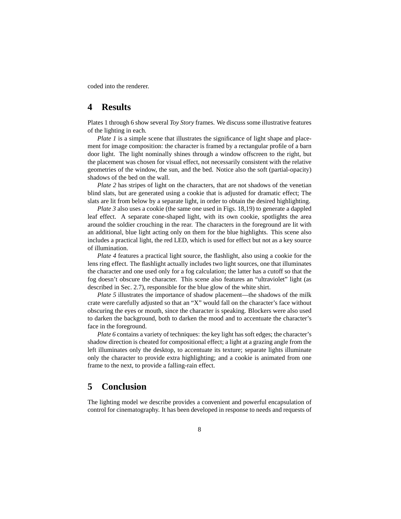coded into the renderer.

### **4 Results**

Plates 1 through 6 show several *Toy Story* frames. We discuss some illustrative features of the lighting in each.

*Plate 1* is a simple scene that illustrates the significance of light shape and placement for image composition: the character is framed by a rectangular profile of a barn door light. The light nominally shines through a window offscreen to the right, but the placement was chosen for visual effect, not necessarily consistent with the relative geometries of the window, the sun, and the bed. Notice also the soft (partial-opacity) shadows of the bed on the wall.

*Plate 2* has stripes of light on the characters, that are not shadows of the venetian blind slats, but are generated using a cookie that is adjusted for dramatic effect; The slats are lit from below by a separate light, in order to obtain the desired highlighting.

*Plate 3* also uses a cookie (the same one used in Figs. 18,19) to generate a dappled leaf effect. A separate cone-shaped light, with its own cookie, spotlights the area around the soldier crouching in the rear. The characters in the foreground are lit with an additional, blue light acting only on them for the blue highlights. This scene also includes a practical light, the red LED, which is used for effect but not as a key source of illumination.

*Plate 4* features a practical light source, the flashlight, also using a cookie for the lens ring effect. The flashlight actually includes two light sources, one that illuminates the character and one used only for a fog calculation; the latter has a cutoff so that the fog doesn't obscure the character. This scene also features an "ultraviolet" light (as described in Sec. 2.7), responsible for the blue glow of the white shirt.

*Plate 5* illustrates the importance of shadow placement—the shadows of the milk crate were carefully adjusted so that an "X" would fall on the character's face without obscuring the eyes or mouth, since the character is speaking. Blockers were also used to darken the background, both to darken the mood and to accentuate the character's face in the foreground.

*Plate 6* contains a variety of techniques: the key light has soft edges; the character's shadow direction is cheated for compositional effect; a light at a grazing angle from the left illuminates only the desktop, to accentuate its texture; separate lights illuminate only the character to provide extra highlighting; and a cookie is animated from one frame to the next, to provide a falling-rain effect.

### **5 Conclusion**

The lighting model we describe provides a convenient and powerful encapsulation of control for cinematography. It has been developed in response to needs and requests of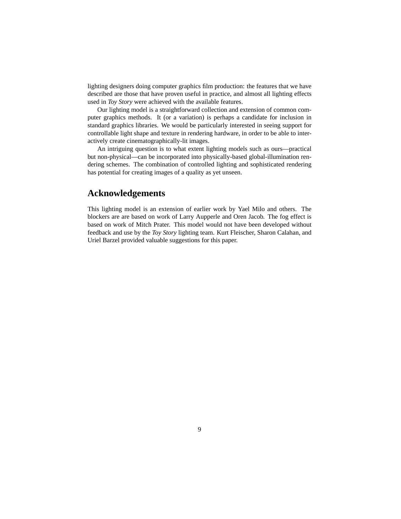lighting designers doing computer graphics film production: the features that we have described are those that have proven useful in practice, and almost all lighting effects used in *Toy Story* were achieved with the available features.

Our lighting model is a straightforward collection and extension of common computer graphics methods. It (or a variation) is perhaps a candidate for inclusion in standard graphics libraries. We would be particularly interested in seeing support for controllable light shape and texture in rendering hardware, in order to be able to interactively create cinematographically-lit images.

An intriguing question is to what extent lighting models such as ours—practical but non-physical—can be incorporated into physically-based global-illumination rendering schemes. The combination of controlled lighting and sophisticated rendering has potential for creating images of a quality as yet unseen.

## **Acknowledgements**

This lighting model is an extension of earlier work by Yael Milo and others. The blockers are are based on work of Larry Aupperle and Oren Jacob. The fog effect is based on work of Mitch Prater. This model would not have been developed without feedback and use by the *Toy Story* lighting team. Kurt Fleischer, Sharon Calahan, and Uriel Barzel provided valuable suggestions for this paper.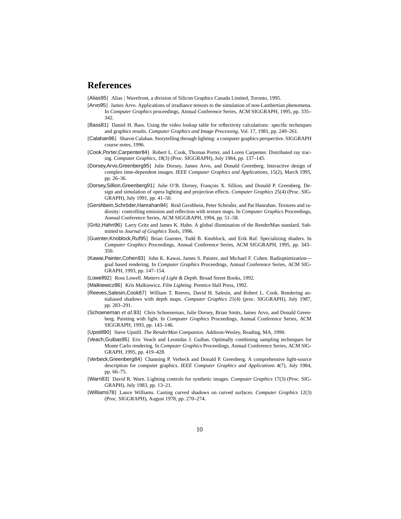### **References**

[Alias95] Alias | Wavefront, a division of Silicon Graphics Canada Limited, Toronto, 1995.

- [Arvo95] James Arvo. Applications of irradiance tensors to the simulation of non-Lambertian phenomena. In *Computer Graphics* proceedings, Annual Conference Series, ACM SIGGRAPH, 1995, pp. 335– 342
- [Bass81] Daniel H. Bass. Using the video lookup table for reflectivity calculations: specific techniques and graphics results. *Computer Graphics and Image Processing,* Vol. 17, 1981, pp. 249–261.
- [Calahan96] Sharon Calahan. Storytelling through lighting: a computer graphics perspective. SIGGRAPH course notes, 1996.
- [Cook,Porter,Carpenter84] Robert L. Cook, Thomas Porter, and Loren Carpenter. Distributed ray tracing. *Computer Graphics,* 18(3) (Proc. SIGGRAPH), July 1984, pp. 137–145.
- [Dorsey,Arvo,Greenberg95] Julie Dorsey, James Arvo, and Donald Greenberg. Interactive design of complex time-dependent images. *IEEE Computer Graphics and Applications,* 15(2), March 1995, pp. 26–36.
- [Dorsey, Sillion, Greenberg91] Julie O'B. Dorsey, François X. Sillion, and Donald P. Greenberg. Design and simulation of opera lighting and projection effects. *Computer Graphics* 25(4) (Proc. SIG-GRAPH), July 1991, pp. 41–50.
- [Gershbein, Schröder, Hanrahan94] Reid Gershbein, Peter Schroder, and Pat Hanrahan. Textures and radiosity: controlling emission and reflection with texture maps. In *Computer Graphics* Proceedings, Annual Conference Series, ACM SIGGRAPH, 1994, pp. 51–58.
- [Gritz,Hahn96] Larry Gritz and James K. Hahn. A global illumination of the RenderMan standard. Submitted to *Journal of Graphics Tools,* 1996.
- [Guenter,Knoblock,Ruf95] Brian Guenter, Todd B. Knoblock, and Erik Ruf. Specializing shaders. In *Computer Graphics* Proceedings, Annual Conference Series, ACM SIGGRAPH, 1995, pp. 343– 350.
- [Kawai,Painter,Cohen93] John K. Kawai, James S. Painter, and Michael F. Cohen. Radioptimizationgoal based rendering. In *Computer Graphics* Proceedings, Annual Conference Series, ACM SIG-GRAPH, 1993, pp. 147–154.
- [Lowell92] Ross Lowell. *Matters of Light & Depth.* Broad Street Books, 1992.
- [Malkiewicz86] Kris Malkiewicz. *Film Lighting.* Prentice Hall Press, 1992.
- [Reeves,Salesin,Cook87] William T. Reeves, David H. Salesin, and Robert L. Cook. Rendering antialiased shadows with depth maps. *Computer Graphics* 21(4) (proc. SIGGRAPH), July 1987, pp. 283–291.
- [Schoeneman *et al.*93] Chris Schoeneman, Julie Dorsey, Brian Smits, James Arvo, and Donald Greenberg. Painting with light. In *Computer Graphics* Proceedings, Annual Conference Series, ACM SIGGRAPH, 1993, pp. 143–146.
- [Upstill90] Steve Upstill. *The RenderMan Companion.* Addison-Wesley, Reading, MA, 1990.
- [Veach,Guibas95] Eric Veach and Leonidas J. Guibas. Optimally combining sampling techniques for Monte Carlo rendering. In *Computer Graphics* Proceedings, Annual Conference Series, ACM SIG-GRAPH, 1995, pp. 419–428.
- [Verbeck,Greenberg84] Channing P. Verbeck and Donald P. Greenberg. A comprehensive light-source description for computer graphics. *IEEE Computer Graphics and Applications* 4(7), July 1984, pp. 66–75.
- [Warn83] David R. Warn. Lighting controls for synthetic images. *Computer Graphics* 17(3) (Proc. SIG-GRAPH), July 1983, pp. 13–21.
- [Williams78] Lance Williams. Casting curved shadows on curved surfaces. *Computer Graphics* 12(3) (Proc. SIGGRAPH), August 1978, pp. 270–274.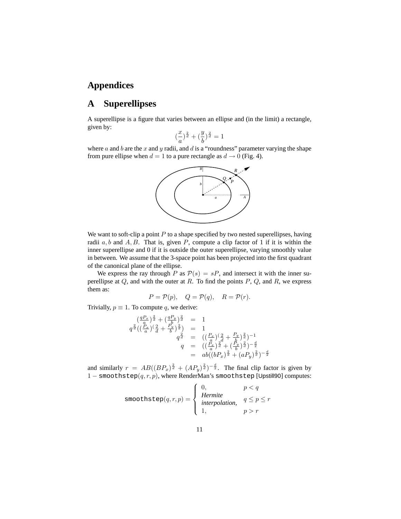# **Appendices**

# **A Superellipses**

A superellipse is a figure that varies between an ellipse and (in the limit) a rectangle, given by:

$$
(\frac{x}{a})^{\frac{2}{d}} + (\frac{y}{b})^{\frac{2}{d}} = 1
$$

where  $a$  and  $b$  are the  $x$  and  $y$  radii, and  $d$  is a "roundness" parameter varying the shape from pure ellipse when  $d = 1$  to a pure rectangle as  $d \rightarrow 0$  (Fig. 4).



We want to soft-clip a point  $P$  to a shape specified by two nested superellipses, having radii  $a, b$  and  $A, B$ . That is, given  $P$ , compute a clip factor of 1 if it is within the inner superellipse and 0 if it is outside the outer superellipse, varying smoothly value in between. We assume that the 3-space point has been projected into the first quadrant of the canonical plane of the ellipse.

We express the ray through P as  $P(s) = sP$ , and intersect it with the inner superellipse at  $Q$ , and with the outer at  $R$ . To find the points  $P$ ,  $Q$ , and  $R$ , we express them as:

$$
P = P(p)
$$
,  $Q = P(q)$ ,  $R = P(r)$ .

Trivially,  $p \equiv 1$ . To compute q, we derive:

$$
\begin{array}{rcl}\n(\frac{qP_x}{a})^{\frac{2}{d}} + (\frac{qP_y}{b})^{\frac{2}{d}} & = & 1\\ \nq^{\frac{2}{d}}((\frac{P_x}{a})^(\frac{2}{d} + \frac{P_y}{b})^{\frac{2}{d}}) & = & 1\\ \nq^{\frac{2}{d}} & = & ((\frac{P_x}{a})^(\frac{2}{d} + \frac{P_y}{b})^{\frac{2}{d}})^{-1}\\ \nq & = & ((\frac{P_x}{a})^{\frac{2}{d}} + (\frac{P_y}{b})^{\frac{2}{d}})^{-\frac{d}{2}}\\ \n& = & ab((bP_x)^{\frac{2}{d}} + (aP_y)^{\frac{2}{d}})^{-\frac{d}{2}}\n\end{array}
$$

and similarly  $r = AB((BP_x)^{\frac{2}{d}} + (AP_y)^{\frac{2}{d}})^{-\frac{d}{2}}$ . The final clip factor is given by 1 – smoothstep $(q, r, p)$ , where RenderMan's smoothstep [Upstill90] computes:  $\overline{a}$ 

smoothstep
$$
(q, r, p)
$$
 = 
$$
\begin{cases} 0, & p < q \\ Hermite \\ interpolation, & q \le p \le r \\ 1, & p > r \end{cases}
$$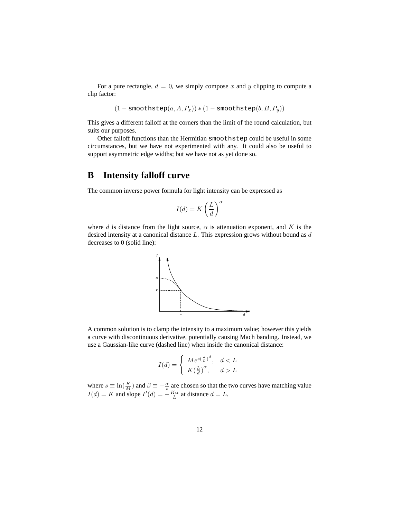For a pure rectangle,  $d = 0$ , we simply compose x and y clipping to compute a clip factor:

$$
(1 - \text{smoothstep}(a, A, P_x)) * (1 - \text{smoothstep}(b, B, P_y))
$$

This gives a different falloff at the corners than the limit of the round calculation, but suits our purposes.

Other falloff functions than the Hermitian smoothstep could be useful in some circumstances, but we have not experimented with any. It could also be useful to support asymmetric edge widths; but we have not as yet done so.

### **B Intensity falloff curve**

The common inverse power formula for light intensity can be expressed as

$$
I(d) = K\left(\frac{L}{d}\right)^{\alpha}
$$

where d is distance from the light source,  $\alpha$  is attenuation exponent, and K is the desired intensity at a canonical distance  $L$ . This expression grows without bound as  $d$ decreases to 0 (solid line):



A common solution is to clamp the intensity to a maximum value; however this yields a curve with discontinuous derivative, potentially causing Mach banding. Instead, we use a Gaussian-like curve (dashed line) when inside the canonical distance:

$$
I(d) = \begin{cases} Me^{s(\frac{d}{L})^{\beta}}, & d < L \\ K(\frac{L}{d})^{\alpha}, & d > L \end{cases}
$$

where  $s \equiv \ln(\frac{K}{M})$  and  $\beta \equiv -\frac{\alpha}{s}$  are chosen so that the two curves have matching value  $I(d) = K$  and slope  $I'(d) = -\frac{K\alpha}{L}$  at distance  $d = L$ .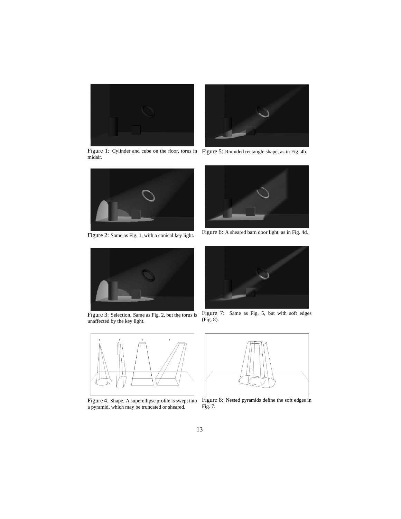

Figure 1: Cylinder and cube on the floor, torus in Figure 5: Rounded rectangle shape, as in Fig. 4b. midair.



Figure 2: Same as Fig. 1, with a conical key light.



Figure 6: A sheared barn door light, as in Fig. 4d.



Figure 3: Selection. Same as Fig. 2, but the torus is unaffected by the key light.



a pyramid, which may be truncated or sheared.



Figure 7: Same as Fig. 5, but with soft edges (Fig. 8).



Figure 4: Shape. A superellipse profile is swept into Figure 8: Nested pyramids define the soft edges in Fig. 7.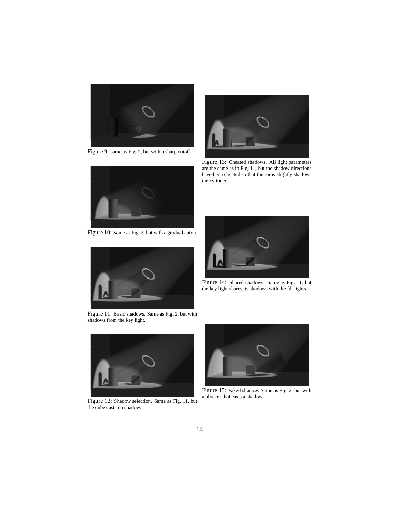

Figure 9: same as Fig. 2, but with a sharp cutoff.



Figure 10: Same as Fig. 2, but with a gradual cuton.



Figure 13: Cheated shadows. All light parameters are the same as in Fig. 11, but the shadow directions have been cheated so that the torus slightly shadows the cylinder.



Figure 14: Shared shadows. Same as Fig. 11, but the key light shares its shadows with the fill lights.



Figure 11: Basic shadows. Same as Fig. 2, but with shadows from the key light.



Figure 12: Shadow selection. Same as Fig. 11, but the cube casts no shadow.



Figure 15: Faked shadow. Same as Fig. 2, but with a blocker that casts a shadow.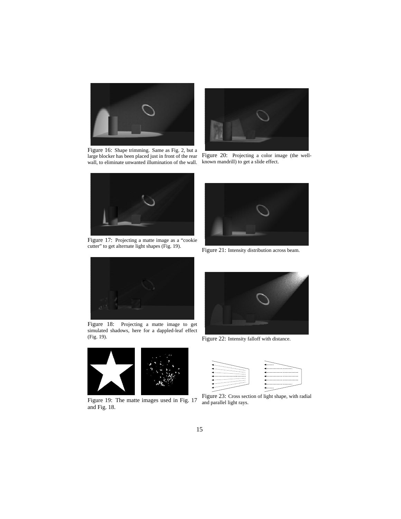





known mandrill) to get a slide effect.



Figure 17: Projecting a matte image as a "cookie cutter" to get alternate light shapes (Fig. 19).



Figure 21: Intensity distribution across beam.



Figure 18: Projecting a matte image to get simulated shadows, here for a dappled-leaf effect (Fig. 19).



Figure 19: The matte images used in Fig. 17 and Fig. 18.



Figure 22: Intensity falloff with distance.



Figure 23: Cross section of light shape, with radial and parallel light rays.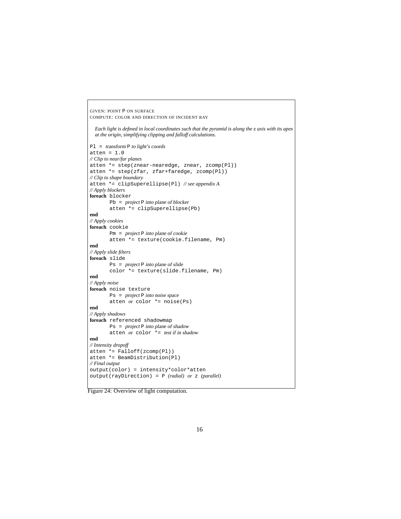```
GIVEN: POINT P ON SURFACE
COMPUTE: COLOR AND DIRECTION OF INCIDENT RAY
  Each light is defined in local coordinates such that the pyramid is along the z axis with its apex
 at the origin, simplifying clipping and falloff calculations.
Pl = transform P to light's coords
atten = 1.0// Clip to near/far planes
atten *= step(znear-nearedge, znear, zcomp(Pl))
atten *= step(zfar, zfar+faredge, zcomp(Pl))
// Clip to shape boundary
atten *= clipSuperellipse(Pl) // see appendix A
// Apply blockers
foreach blocker
       Pb = project P into plane of blocker
       atten *= clipSuperellipse(Pb)
end
// Apply cookies
foreach cookie
        Pm = project P into plane of cookie
       atten *= texture(cookie.filename, Pm)
end
// Apply slide filters
foreach slide
       PS = project P into plane of slide
       color *= texture(slide.filename, Pm)
end
// Apply noise
foreach noise texture
       Ps = project P into noise space
       atten or color *= noise(Ps)
end
// Apply shadows
foreach referenced shadowmap
       \text{Ps} = project \text{P} into plane of shadow
       atten or color * = test if in shadow
end
// Intensity dropoff
atten *= Falloff(zcomp(Pl))
atten *= BeamDistribution(Pl)
// Final output
output(color) = intensity*color*atten
output(rayDirection) = P (radial) or z (parallel)
```
Figure 24: Overview of light computation.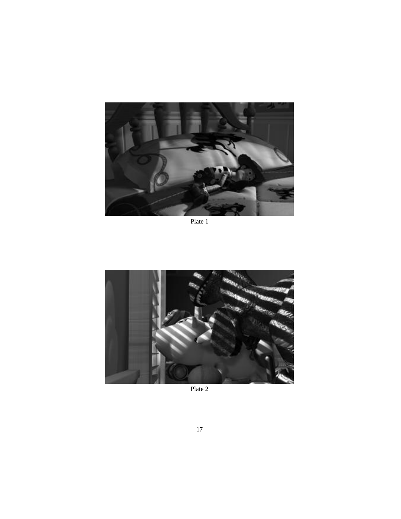

Plate 1



Plate 2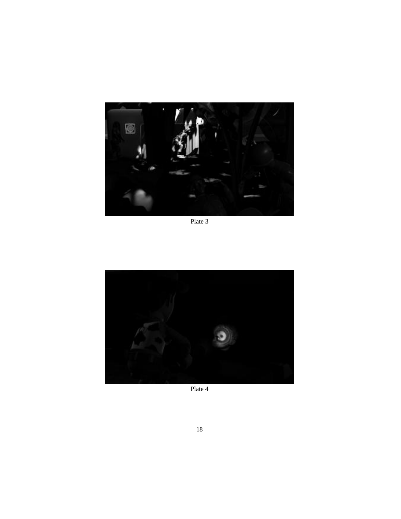

Plate 3



Plate 4